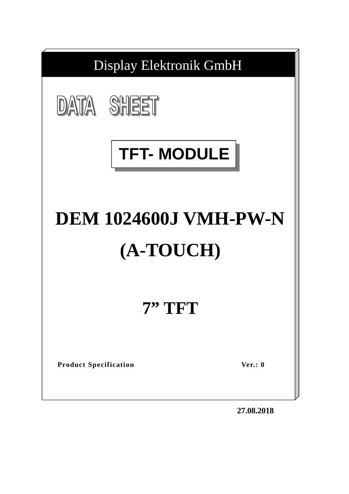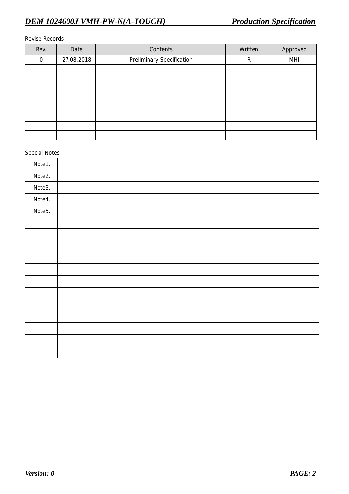#### Revise Records

| Rev.     | Date       | Contents                         | Written | Approved |
|----------|------------|----------------------------------|---------|----------|
| $\Omega$ | 27.08.2018 | <b>Preliminary Specification</b> | R       | MHI      |
|          |            |                                  |         |          |
|          |            |                                  |         |          |
|          |            |                                  |         |          |
|          |            |                                  |         |          |
|          |            |                                  |         |          |
|          |            |                                  |         |          |
|          |            |                                  |         |          |
|          |            |                                  |         |          |

#### Special Notes

| Note1. |  |
|--------|--|
| Note2. |  |
| Note3. |  |
| Note4. |  |
| Note5. |  |
|        |  |
|        |  |
|        |  |
|        |  |
|        |  |
|        |  |
|        |  |
|        |  |
|        |  |
|        |  |
|        |  |
|        |  |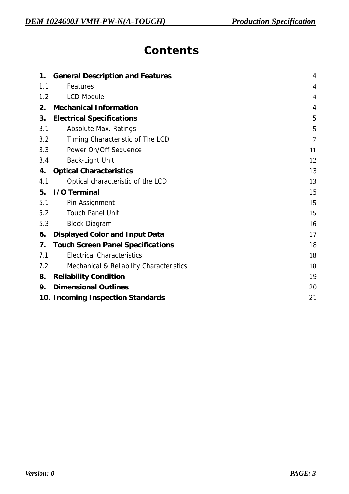## **Contents**

| 1.  | <b>General Description and Features</b>             | $\overline{4}$ |
|-----|-----------------------------------------------------|----------------|
| 1.1 | Features                                            | 4              |
| 1.2 | <b>LCD Module</b>                                   | $\overline{4}$ |
| 2.  | <b>Mechanical Information</b>                       | 4              |
| 3.  | <b>Electrical Specifications</b>                    | 5              |
| 3.1 | <b>Absolute Max. Ratings</b>                        | 5              |
| 3.2 | Timing Characteristic of The LCD                    | 7              |
| 3.3 | Power On/Off Sequence                               | 11             |
| 3.4 | <b>Back-Light Unit</b>                              | 12             |
| 4.  | <b>Optical Characteristics</b>                      | 13             |
| 4.1 | Optical characteristic of the LCD                   | 13             |
| 5.  | I/O Terminal                                        | 15             |
| 5.1 | Pin Assignment                                      | 15             |
| 5.2 | <b>Touch Panel Unit</b>                             | 15             |
| 5.3 | <b>Block Diagram</b>                                | 16             |
| 6.  | <b>Displayed Color and Input Data</b>               | 17             |
| 7.  | <b>Touch Screen Panel Specifications</b>            | 18             |
| 7.1 | <b>Electrical Characteristics</b>                   | 18             |
| 7.2 | <b>Mechanical &amp; Reliability Characteristics</b> | 18             |
| 8.  | <b>Reliability Condition</b>                        | 19             |
| 9.  | <b>Dimensional Outlines</b>                         | 20             |
|     | 10. Incoming Inspection Standards                   | 21             |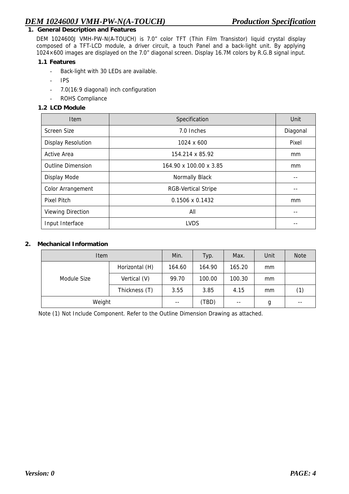#### **1. General Description and Features**

DEM 1024600J VMH-PW-N(A-TOUCH) is 7.0" color TFT (Thin Film Transistor) liquid crystal display composed of a TFT-LCD module, a driver circuit, a touch Panel and a back-light unit. By applying 1024×600 images are displayed on the 7.0" diagonal screen. Display 16.7M colors by R.G.B signal input.

#### **1.1 Features**

- Back-light with 30 LEDs are available.
- IPS
- 7.0(16:9 diagonal) inch configuration
- ROHS Compliance
- **1.2 LCD Module**

| <b>Item</b>               | Specification              | Unit     |
|---------------------------|----------------------------|----------|
| <b>Screen Size</b>        | 7.0 Inches                 | Diagonal |
| <b>Display Resolution</b> | 1024 x 600                 | Pixel    |
| <b>Active Area</b>        | 154.214 x 85.92            | mm       |
| <b>Outline Dimension</b>  | 164.90 x 100.00 x 3.85     | mm       |
| Display Mode              | <b>Normally Black</b>      |          |
| <b>Color Arrangement</b>  | <b>RGB-Vertical Stripe</b> |          |
| <b>Pixel Pitch</b>        | $0.1506 \times 0.1432$     | mm       |
| <b>Viewing Direction</b>  | All                        |          |
| Input Interface           | LVDS                       |          |

#### **2. Mechanical Information**

| <b>Item</b> |                | Min.   | Typ.   | Max.   | Unit | <b>Note</b> |
|-------------|----------------|--------|--------|--------|------|-------------|
|             | Horizontal (H) | 164.60 | 164.90 | 165.20 | mm   |             |
| Module Size | Vertical (V)   | 99.70  | 100.00 | 100.30 | mm   |             |
|             | Thickness (T)  | 3.55   | 3.85   | 4.15   | mm   | (1)         |
| Weight      |                | $- -$  | (TBD)  | $- -$  | g    | $- -$       |

Note (1) Not Include Component. Refer to the Outline Dimension Drawing as attached.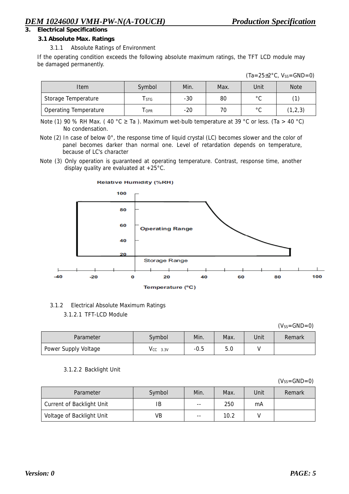### **3. Electrical Specifications**

#### **3.1 Absolute Max. Ratings**

#### 3.1.1 Absolute Ratings of Environment

If the operating condition exceeds the following absolute maximum ratings, the TFT LCD module may be damaged permanently.

| $(Ta=25\pm2\degree C, V_{SS}=GND=0)$ |
|--------------------------------------|
|                                      |

| Item                         | Symbol     | Min.  | Max. | Unit           | <b>Note</b> |
|------------------------------|------------|-------|------|----------------|-------------|
| Storage Temperature          | l stg      | $-30$ | 80   | $\circ$ $\sim$ |             |
| <b>Operating Temperature</b> | <b>OPR</b> | -20   | 70   | $\circ$ $\sim$ | (1, 2, 3)   |

Note (1) 90 % RH Max. (40 °C  $\geq$  Ta ). Maximum wet-bulb temperature at 39 °C or less. (Ta  $>$  40 °C) No condensation.

Note (2) In case of below 0°, the response time of liquid crystal (LC) becomes slower and the color of panel becomes darker than normal one. Level of retardation depends on temperature, because of LC's character

Note (3) Only operation is guaranteed at operating temperature. Contrast, response time, another display quality are evaluated at +25°C.



## 3.1.2 Electrical Absolute Maximum Ratings

3.1.2.1 TFT-LCD Module

 $(V_{SS}=GND=0)$ 

| Parameter            | Symbol        | Min.   | Max. | Unit | Remark |
|----------------------|---------------|--------|------|------|--------|
| Power Supply Voltage | $V_{CC}$ 3.3V | $-0.5$ | 5.0  |      |        |

#### 3.1.2.2 Backlight Unit

 $(V_{SS}=GND=0)$ 

| Parameter                        | Symbol | Min.  | Max. | Unit | Remark |
|----------------------------------|--------|-------|------|------|--------|
| <b>Current of Backlight Unit</b> | IB     | $- -$ | 250  | mA   |        |
| Voltage of Backlight Unit        | VB     | $- -$ | 10.2 |      |        |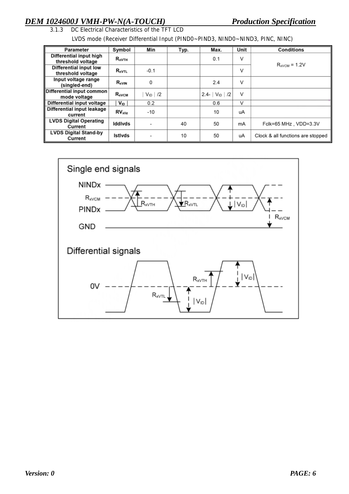# *DEM 1024600J VMH-PW-N(A-TOUCH)*<br>3.1.3 DC Electrical Characteristics of the TFT LCD<br>**Production Specification**

DC Electrical Characteristics of the TFT LCD

LVDS mode (Receiver Differential Input (PIND0~PIND3, NIND0~NIND3, PINC, NINC)

| Parameter                     | Symbol              | Min         | Typ. | Max.             | Unit | <b>Conditions</b>                 |
|-------------------------------|---------------------|-------------|------|------------------|------|-----------------------------------|
|                               |                     |             |      |                  |      |                                   |
| Differential input high       | $R_{xVTH}$          |             |      | 0.1              | v    |                                   |
| threshold voltage             |                     |             |      |                  |      |                                   |
| <b>Differential input low</b> |                     |             |      |                  | V    | $R_{xVCM}$ = 1.2V                 |
| threshold voltage             | $R_{xVTL}$          | $-0.1$      |      |                  |      |                                   |
| Input voltage range           | $R_{xVIN}$          | 0           |      | 2.4              | v    |                                   |
| (singled-end)                 |                     |             |      |                  |      |                                   |
| Differential input common     |                     |             |      |                  | v    |                                   |
| mode voltage                  | $R_{xVCM}$          | $V_{ID}$ /2 |      | 2.4- $V_{ID}$ /2 |      |                                   |
| Differential input voltage    | $V_{ID}$            | 0.2         |      | 0.6              | v    |                                   |
| Differential input leakage    |                     |             |      |                  |      |                                   |
| current                       | RV <sub>x</sub> 11z | $-10$       |      | 10               | uA   |                                   |
| <b>LVDS Digital Operating</b> |                     |             |      |                  |      |                                   |
| Current                       | <b>Iddivds</b>      |             | 40   | 50               | mA   | Fclk=65 MHz, VDD=3.3V             |
| <b>LVDS Digital Stand-by</b>  |                     |             |      |                  |      |                                   |
| Current                       | <b>Istivds</b>      |             | 10   | 50               | uA   | Clock & all functions are stopped |

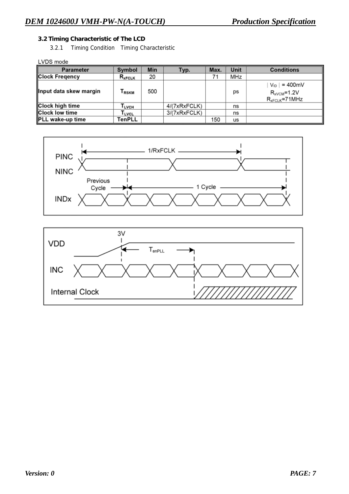#### **3.2 Timing Characteristic of The LCD**

3.2.1 Timing Condition Timing Characteristic

LVDS mode

| <b>Parameter</b>        | Symbol            | Min | Typ.         | Max. | Unit | <b>Conditions</b>                                          |
|-------------------------|-------------------|-----|--------------|------|------|------------------------------------------------------------|
| <b>Clock Fregency</b>   | $R_{xFCLK}$       | 20  |              | 71   | MHz  |                                                            |
| ∥Input data skew margin | l <sub>RSKM</sub> | 500 |              |      | ps   | $V_{ID}$ = 400mV<br>$R_{xVCM}$ =1.2V<br>$R_{xFCLK}$ =71MHz |
| <b>Clock high time</b>  | I LVCH            |     | 4/(7xRxFCLK) |      | ns   |                                                            |
| <b>Clock low time</b>   | <b>LVCL</b>       |     | 3/(7xRxFCLK) |      | ns   |                                                            |
| <b>PLL</b> wake-up time | TenPLL            |     |              | 150  | us   |                                                            |



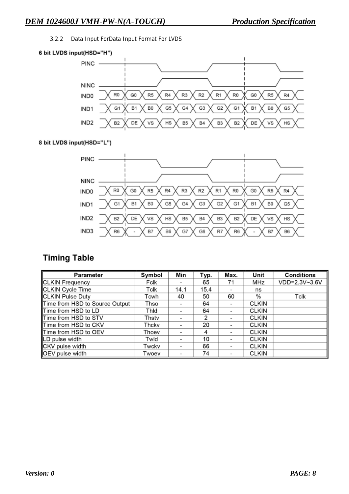3.2.2 Data Input ForData Input Format For LVDS



#### 8 bit LVDS input(HSD="L")



## **Timing Table**

| <b>Parameter</b>               | Symbol | Min                      | Typ. | Max.                     | Unit         | <b>Conditions</b> |
|--------------------------------|--------|--------------------------|------|--------------------------|--------------|-------------------|
| <b>CLKIN</b> Frequency         | Fclk   | $\overline{\phantom{a}}$ | 65   | 71                       | MHz          | VDD=2.3V~3.6V     |
| CLKIN Cycle Time               | Tclk   | 14.1                     | 15.4 |                          | ns           |                   |
| <b>CLKIN Pulse Duty</b>        | Tcwh   | 40                       | 50   | 60                       | %            | Tclk              |
| Time from HSD to Source Output | Thso   | $\overline{\phantom{a}}$ | 64   |                          | <b>CLKIN</b> |                   |
| Time from HSD to LD            | Thid   | $\blacksquare$           | 64   | $\overline{\phantom{a}}$ | <b>CLKIN</b> |                   |
| Time from HSD to STV           | Thstv  | $\blacksquare$           | 2    |                          | <b>CLKIN</b> |                   |
| Time from HSD to CKV           | Thckv  | $\overline{\phantom{a}}$ | 20   |                          | <b>CLKIN</b> |                   |
| Time from HSD to OEV           | Thoev  | $\overline{\phantom{a}}$ | 4    | ۰                        | <b>CLKIN</b> |                   |
| LD pulse width                 | Twld   | $\overline{\phantom{a}}$ | 10   |                          | <b>CLKIN</b> |                   |
| CKV pulse width                | Twckv  | $\,$                     | 66   | $\overline{\phantom{a}}$ | <b>CLKIN</b> |                   |
| OEV pulse width                | Twoev  | -                        | 74   |                          | <b>CLKIN</b> |                   |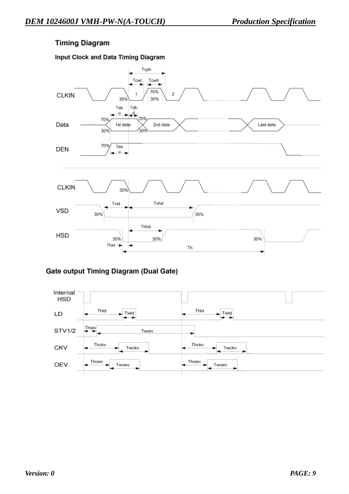## **Timing Diagram**

### Input Clock and Data Timing Diagram



### **Gate output Timing Diagram (Dual Gate)**

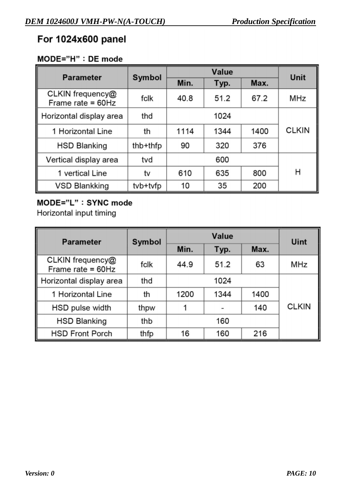## For 1024x600 panel

## MODE="H" : DE mode

| <b>Parameter</b>                        | Symbol   |      | <b>Unit</b> |      |              |
|-----------------------------------------|----------|------|-------------|------|--------------|
|                                         |          | Min. | Typ.        |      |              |
| CLKIN frequency@<br>Frame rate = $60Hz$ | fclk     | 40.8 | 51.2        | 67.2 | MHz          |
| Horizontal display area                 | thd      |      | 1024        |      |              |
| 1 Horizontal Line                       | th       | 1114 | 1344        | 1400 | <b>CLKIN</b> |
| <b>HSD Blanking</b>                     | thb+thfp | 90   | 320         | 376  |              |
| Vertical display area                   | tvd      |      | 600         |      |              |
| 1 vertical Line                         | tv       | 610  | 635         | 800  | н            |
| <b>VSD Blankking</b>                    | tvb+tvfp | 10   | 35          | 200  |              |

## MODE="L": SYNC mode

Horizontal input timing

| <b>Parameter</b>                        | Symbol |      | Uint |      |              |  |
|-----------------------------------------|--------|------|------|------|--------------|--|
|                                         |        | Min. | Typ. | Max. |              |  |
| CLKIN frequency@<br>Frame rate = $60Hz$ | fclk   | 44.9 | 51.2 | 63   | <b>MHz</b>   |  |
| Horizontal display area                 | thd    |      | 1024 |      |              |  |
| 1 Horizontal Line                       | th     | 1200 | 1344 | 1400 |              |  |
| HSD pulse width                         | thpw   |      |      | 140  | <b>CLKIN</b> |  |
| <b>HSD Blanking</b>                     | thb    |      | 160  |      |              |  |
| <b>HSD Front Porch</b>                  | thfp   | 16   | 160  | 216  |              |  |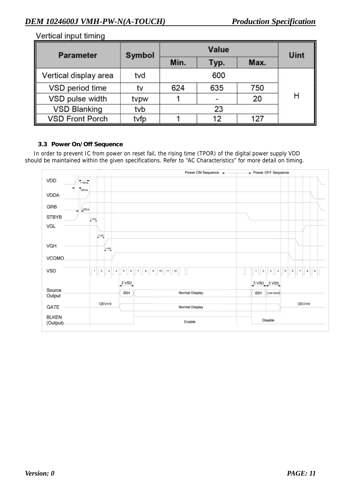### Vertical input timing

| <b>Parameter</b>       | Symbol |      | Uint |      |   |  |  |  |
|------------------------|--------|------|------|------|---|--|--|--|
|                        |        | Min. | Typ. | Max. |   |  |  |  |
| Vertical display area  | tvd    |      | 600  |      |   |  |  |  |
| VSD period time        | tv     | 624  | 635  | 750  |   |  |  |  |
| VSD pulse width        | tvpw   |      | ۰    | 20   | н |  |  |  |
| <b>VSD Blanking</b>    | tvb    |      | 23   |      |   |  |  |  |
| <b>VSD Front Porch</b> | tvfp   |      | 12   | 127  |   |  |  |  |

#### **3.3 Power On/Off Sequence**

In order to prevent IC from power on reset fail, the rising time (TPOR) of the digital power supply VDD should be maintained within the given specifications. Refer to "AC Characteristics" for more detail on timing.

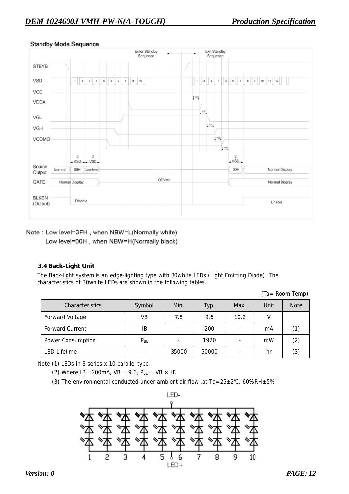

#### **Standby Mode Sequence**

Note: Low level=3FH, when NBW=L(Normally white) Low level=00H, when NBW=H(Normally black)

#### **3.4 Back-Light Unit**

The Back-light system is an edge-lighting type with 30white LEDs (Light Emitting Diode). The characteristics of 30white LEDs are shown in the following tables.

(Ta= Room Temp)

| Characteristics        | Symbol   | Min.  | Typ.  | Max. | Unit | <b>Note</b> |
|------------------------|----------|-------|-------|------|------|-------------|
| <b>Forward Voltage</b> | VB       | 7.8   | 9.6   | 10.2 |      |             |
| <b>Forward Current</b> | ΙB       | -     | 200   |      | mA   | (1)         |
| Power Consumption      | $P_{BL}$ | ۰     | 1920  |      | mW   | (2)         |
| <b>LED Lifetime</b>    |          | 35000 | 50000 |      | hr   | (3)         |

Note (1) LEDs in 3 series x 10 parallel type.

(2) Where IB = 200mA,  $VB = 9.6$ ,  $P_{BL} = VB \times IB$ 

(3) The environmental conducted under ambient air flow , at Ta=25 $\pm$ 2°C, 60%RH $\pm$ 5%

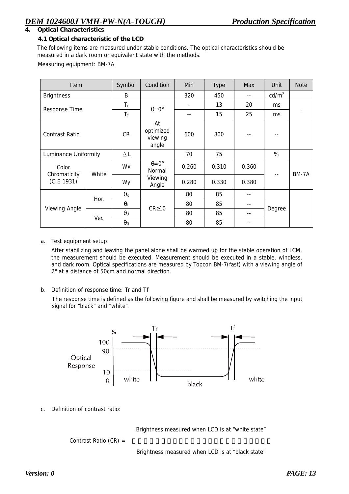#### **4. Optical Characteristics**

#### **4.1 Optical characteristic of the LCD**

The following items are measured under stable conditions. The optical characteristics should be measured in a dark room or equivalent state with the methods.

Measuring equipment: BM-7A

| <b>Item</b>                 |       | Symbol                | Condition                           | Min   | <b>Type</b> | Max   | Unit              | <b>Note</b> |
|-----------------------------|-------|-----------------------|-------------------------------------|-------|-------------|-------|-------------------|-------------|
| <b>Brightness</b>           |       | B                     |                                     | 320   | 450         | $- -$ | cd/m <sup>2</sup> |             |
|                             |       | $T_r$                 |                                     |       | 13          | 20    | ms.               |             |
| Response Time               |       | $T_f$                 | $\theta = 0^{\circ}$                | --    | 15          | 25    | <sub>ms</sub>     | $\cdot$     |
| <b>Contrast Ratio</b>       |       | <b>CR</b>             | At<br>optimized<br>viewing<br>angle | 600   | 800         |       |                   |             |
| <b>Luminance Uniformity</b> |       | $\Delta L$            |                                     | 70    | 75          |       | %                 |             |
| Color                       | White | Wx                    | $\theta = 0^{\circ}$<br>Normal      | 0.260 | 0.310       | 0.360 |                   |             |
| Chromaticity<br>(CIE 1931)  |       | Wy                    | Viewing<br>Angle                    | 0.280 | 0.330       | 0.380 | $- -$             | BM-7A       |
|                             |       | $\theta_{\mathsf{R}}$ |                                     | 80    | 85          | --    |                   |             |
|                             | Hor.  | $\theta_L$            | $CR \ge 10$                         | 80    | 85          | --    |                   |             |
| Viewing Angle               |       | $\theta$ u            |                                     | 80    | 85          | --    | Degree            |             |
|                             | Ver.  | $\theta_{\mathsf{D}}$ |                                     | 80    | 85          | --    |                   |             |

#### a. Test equipment setup

After stabilizing and leaving the panel alone shall be warmed up for the stable operation of LCM, the measurement should be executed. Measurement should be executed in a stable, windless, and dark room. Optical specifications are measured by Topcon BM-7(fast) with a viewing angle of 2° at a distance of 50cm and normal direction.

b. Definition of response time: Tr and Tf

The response time is defined as the following figure and shall be measured by switching the input signal for "black" and "white".



c. Definition of contrast ratio:

Brightness measured when LCD is at "white state"

Contrast Ratio (CR) =

Brightness measured when LCD is at "black state"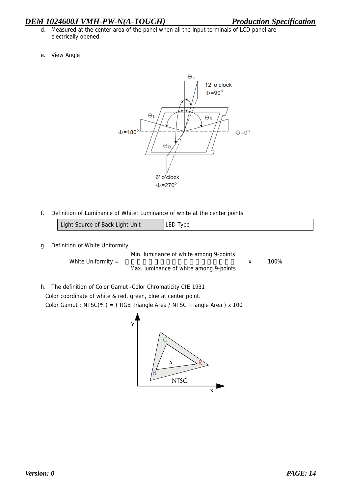### *DEM 1024600J VMH-PW-N(A-TOUCH) Production Specification*

- d. Measured at the center area of the panel when all the input terminals of LCD panel are electrically opened.
- e. View Angle



f. Definition of Luminance of White: Luminance of white at the center points

| Light Source of Back-Light Unit | LED Type |
|---------------------------------|----------|
|---------------------------------|----------|

g. Definition of White Uniformity

Min. luminance of white among 9-points White Uniformity =  $\frac{100\%}{100\%}$ Max. luminance of white among 9-points

h. The definition of Color Gamut -Color Chromaticity CIE 1931 Color coordinate of white & red, green, blue at center point. Color Gamut : NTSC(%) = ( RGB Triangle Area / NTSC Triangle Area ) x 100

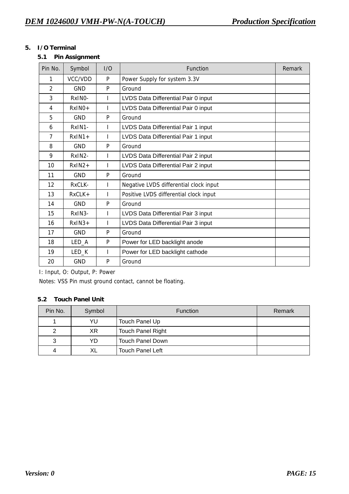#### **5. I/O Terminal**

**5.1 Pin Assignment** 

| Pin No.        | Symbol              | 1/O | <b>Function</b>                        | Remark |
|----------------|---------------------|-----|----------------------------------------|--------|
| 1              | VCC/VDD             | P   | Power Supply for system 3.3V           |        |
| $\overline{2}$ | <b>GND</b>          | P   | Ground                                 |        |
| 3              | RxINO-              |     | LVDS Data Differential Pair 0 input    |        |
| 4              | $RxINO +$           | ı   | LVDS Data Differential Pair 0 input    |        |
| 5              | <b>GND</b>          | P   | Ground                                 |        |
| 6              | RxIN1-              | ı   | LVDS Data Differential Pair 1 input    |        |
| 7              | $RxIN1+$            |     | LVDS Data Differential Pair 1 input    |        |
| 8              | <b>GND</b>          | P   | Ground                                 |        |
| 9              | RxIN <sub>2</sub>   | L   | LVDS Data Differential Pair 2 input    |        |
| 10             | $RxIN2+$            |     | LVDS Data Differential Pair 2 input    |        |
| 11             | <b>GND</b>          | P   | Ground                                 |        |
| 12             | RxCLK-              | L   | Negative LVDS differential clock input |        |
| 13             | $RxCLK +$           |     | Positive LVDS differential clock input |        |
| 14             | <b>GND</b>          | P   | Ground                                 |        |
| 15             | RxIN <sub>3</sub> - |     | LVDS Data Differential Pair 3 input    |        |
| 16             | $RxIN3+$            |     | LVDS Data Differential Pair 3 input    |        |
| 17             | <b>GND</b>          | P   | Ground                                 |        |
| 18             | LED_A               | P   | Power for LED backlight anode          |        |
| 19             | LED_K               |     | Power for LED backlight cathode        |        |
| 20             | <b>GND</b>          | P   | Ground                                 |        |

I: Input, O: Output, P: Power

Notes: VSS Pin must ground contact, cannot be floating.

### **5.2 Touch Panel Unit**

| Pin No. | Symbol | <b>Function</b>          | Remark |
|---------|--------|--------------------------|--------|
|         | YU     | Touch Panel Up           |        |
| 2       | XR     | <b>Touch Panel Right</b> |        |
| 3       | YD     | <b>Touch Panel Down</b>  |        |
| 4       | XL     | <b>Touch Panel Left</b>  |        |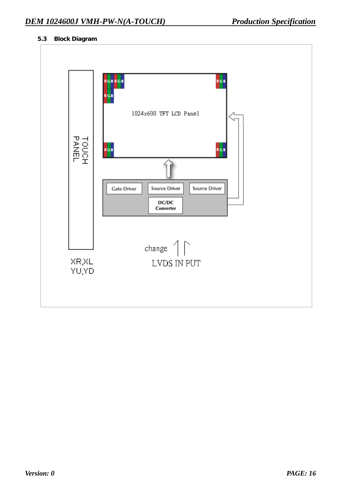#### **5.3 Block Diagram**

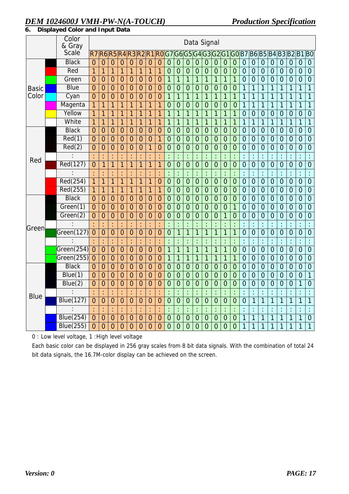## *DEM 1024600J VMH-PW-N(A-TOUCH) Production Specification*

| 6. |  |  | . Displayed Color and Input Data |
|----|--|--|----------------------------------|
|----|--|--|----------------------------------|

|              | Color<br>& Gray  |                | Data Signal          |                      |                      |                |                |                |                      |                |                      |                |                      |                      |                      |                |                |                      |                      |                      |                |                      |                |                |                      |
|--------------|------------------|----------------|----------------------|----------------------|----------------------|----------------|----------------|----------------|----------------------|----------------|----------------------|----------------|----------------------|----------------------|----------------------|----------------|----------------|----------------------|----------------------|----------------------|----------------|----------------------|----------------|----------------|----------------------|
|              | Scale            | R7             |                      | <b>R6R5R4</b>        |                      | R3R2           |                | R <sub>1</sub> | R0                   | G7             | G6                   | G<br>5         | G <sub>4</sub>       | G3                   | G <sub>2</sub>       | G <sub>1</sub> | GOB7           |                      | <b>B6B5</b>          |                      | <b>B4B3</b>    |                      | B <sub>2</sub> | B <sub>1</sub> | B <sub>0</sub>       |
|              | <b>Black</b>     | $\overline{0}$ | $\overline{0}$       | $\overline{0}$       | $\overline{0}$       | $\overline{0}$ | $\overline{0}$ | $\overline{0}$ | $\overline{0}$       | $\overline{0}$ | $\overline{0}$       | $\overline{0}$ | $\mathbf 0$          | $\overline{0}$       | $\overline{0}$       | $\overline{0}$ | $\overline{0}$ | $\overline{0}$       | $\mathbf{0}$         | $\overline{0}$       | $\overline{0}$ | $\overline{0}$       | $\overline{0}$ | $\overline{0}$ | $\overline{0}$       |
|              | Red              | 1              | 1                    | 1                    | 1                    | 1              | 1              | 1              | $\mathbf{1}$         | $\overline{0}$ | $\overline{0}$       | $\overline{0}$ | $\overline{0}$       | $\overline{0}$       | $\overline{0}$       | $\overline{0}$ | $\overline{0}$ | $\overline{0}$       | $\mathbf{0}$         | $\overline{0}$       | $\overline{0}$ | $\mathbf{0}$         | $\mathbf 0$    | $\overline{0}$ | $\overline{0}$       |
|              | Green            | $\overline{0}$ | $\overline{0}$       | $\overline{0}$       | $\overline{0}$       | $\overline{0}$ | $\overline{0}$ | $\overline{0}$ | $\overline{0}$       | 1              | 1                    | 1              | 1                    | $\mathbf{1}$         | 1                    | 1              | 1              | $\overline{0}$       | $\overline{0}$       | $\overline{0}$       | $\overline{0}$ | $\overline{0}$       | $\overline{0}$ | $\overline{0}$ | $\overline{0}$       |
| <b>Basic</b> | <b>Blue</b>      | $\overline{0}$ | $\mathbf 0$          | $\overline{0}$       | $\mathbf 0$          | $\mathbf 0$    | $\mathbf 0$    | $\mathbf 0$    | $\overline{0}$       | $\mathbf 0$    | $\mathbf 0$          | $\mathbf 0$    | $\mathbf 0$          | $\overline{0}$       | $\mathbf 0$          | $\overline{0}$ | $\mathbf 0$    | 1                    | 1                    | $\mathbf{1}$         | $\overline{1}$ | 1                    | 1              | 1              | $\overline{1}$       |
| Color        | Cyan             | $\overline{0}$ | $\overline{0}$       | $\overline{0}$       | $\overline{0}$       | $\overline{0}$ | $\overline{0}$ | $\overline{0}$ | $\overline{0}$       | $\overline{1}$ | 1                    | 1              | 1                    | $\overline{1}$       | $\overline{1}$       | $\overline{1}$ | 1              | 1                    | 1                    | $\overline{1}$       | 1              | 1                    | 1              | 1              | $\overline{1}$       |
|              | Magenta          | 1              | 1                    | 1                    | 1                    | 1              | 1              | 1              | 1                    | $\overline{0}$ | $\overline{0}$       | $\overline{0}$ | $\overline{0}$       | $\overline{0}$       | $\overline{0}$       | $\overline{0}$ | $\overline{0}$ | 1                    | 1                    | 1                    | 1              | 1                    | 1              | 1              | $\overline{1}$       |
|              | Yellow           | 1              | 1                    | 1                    | 1                    | 1              | 1              | 1              | $\mathbf{1}$         | 1              | 1                    | $\overline{1}$ | 1                    | $\mathbf{1}$         | 1                    | 1              | 1              | $\overline{0}$       | $\mathbf 0$          | $\overline{0}$       | $\overline{0}$ | $\overline{0}$       | $\overline{0}$ | $\mathbf 0$    | $\overline{0}$       |
|              | White            | $\overline{1}$ | 1                    | $\overline{1}$       | 1                    | 1              | $\overline{1}$ | $\overline{1}$ | $\overline{1}$       | $\overline{1}$ | 1                    | 1              | 1                    | $\overline{1}$       | $\overline{1}$       | $\mathbf{1}$   | 1              | 1                    | $\overline{1}$       | $\overline{1}$       | $\overline{1}$ | 1                    | $\overline{1}$ | $\overline{1}$ | $\overline{1}$       |
|              | <b>Black</b>     | $\overline{0}$ | $\overline{0}$       | $\overline{0}$       | $\overline{0}$       | $\overline{0}$ | $\overline{0}$ | $\mathbf 0$    | $\mathbf 0$          | $\overline{0}$ | $\overline{0}$       | $\overline{0}$ | $\overline{0}$       | $\mathbf 0$          | $\overline{0}$       | $\overline{0}$ | $\overline{0}$ | $\overline{0}$       | $\mathbf 0$          | $\overline{0}$       | $\overline{0}$ | $\overline{0}$       | $\overline{0}$ | $\overline{0}$ | $\overline{0}$       |
|              | Red(1)           | $\overline{0}$ | $\overline{0}$       | $\overline{0}$       | $\overline{0}$       | $\overline{0}$ | $\overline{0}$ | $\overline{0}$ | $\overline{1}$       | $\overline{0}$ | $\overline{0}$       | $\overline{0}$ | $\overline{0}$       | $\overline{0}$       | $\overline{0}$       | $\overline{0}$ | $\overline{0}$ | $\overline{0}$       | $\overline{0}$       | $\overline{0}$       | $\overline{0}$ | $\overline{0}$       | $\overline{0}$ | $\overline{0}$ | $\overline{0}$       |
|              | Red(2)           | $\overline{0}$ | $\mathbf 0$          | $\overline{0}$       | $\overline{0}$       | $\overline{0}$ | $\mathbf 0$    | 1              | $\overline{0}$       | $\mathbf 0$    | $\overline{0}$       | $\mathbf 0$    | $\overline{0}$       | $\overline{0}$       | $\mathbf 0$          | $\overline{0}$ | $\overline{0}$ | $\overline{0}$       | $\mathbf 0$          | $\overline{0}$       | $\overline{0}$ | $\overline{0}$       | $\overline{0}$ | $\overline{0}$ | $\overline{0}$       |
| Red          |                  | ċ              | ÷                    | ċ                    | ł,                   | ł              | t              | ł,             | ÷                    | ÷              | $\ddot{\phantom{a}}$ | $\vdots$       | ÷                    | $\ddot{\phantom{a}}$ | $\ddot{\phantom{a}}$ | ċ              | ł              | ł,                   | t                    | ÷                    | $\ddot{\cdot}$ | ÷                    | ÷              | ł              | $\ddot{\phantom{a}}$ |
|              | Red(127)         | 0              | 1                    | 1                    | 1                    | 1              | 1              | 1              | 1                    | $\overline{0}$ | $\overline{0}$       | $\overline{0}$ | $\overline{0}$       | $\overline{0}$       | $\overline{0}$       | $\overline{0}$ | $\overline{0}$ | $\overline{0}$       | $\overline{0}$       | $\overline{0}$       | $\overline{0}$ | $\overline{0}$       | $\overline{0}$ | $\overline{0}$ | $\overline{0}$       |
|              |                  | ċ              | t                    | ÷                    | $\ddot{\cdot}$       | ł              |                | ÷              | $\ddot{\phantom{a}}$ | ÷              | $\vdots$             | ÷              | $\ddot{\phantom{a}}$ | $\ddot{\cdot}$       | ÷                    | ċ              | ÷              | $\ddot{\cdot}$       | $\ddot{\phantom{a}}$ | $\ddot{\cdot}$       | $\ddot{\cdot}$ | t                    | $\ddot{\cdot}$ | $\ddot{\cdot}$ | $\ddot{\cdot}$       |
|              | Red(254)         | $\overline{1}$ | $\overline{1}$       | $\overline{1}$       | $\overline{1}$       | 1              | $\overline{1}$ | 1              | $\overline{0}$       | $\overline{0}$ | $\overline{0}$       | $\overline{0}$ | $\overline{0}$       | $\overline{0}$       | $\overline{0}$       | $\overline{0}$ | $\overline{0}$ | $\overline{0}$       | $\mathbf 0$          | $\overline{0}$       | $\overline{0}$ | $\overline{0}$       | $\overline{0}$ | $\overline{0}$ | $\overline{0}$       |
|              | Red(255)         | $\mathbf{1}$   | $\mathbf{1}$         | $\overline{1}$       | 1                    | 1              | $\overline{1}$ | $\overline{1}$ | $\overline{1}$       | $\overline{0}$ | $\overline{0}$       | $\mathbf 0$    | $\overline{0}$       | $\overline{0}$       | $\overline{0}$       | $\overline{0}$ | $\overline{0}$ | $\overline{0}$       | $\overline{0}$       | $\overline{0}$       | $\overline{0}$ | $\overline{0}$       | $\overline{0}$ | $\overline{0}$ | $\overline{0}$       |
|              | <b>Black</b>     | $\overline{0}$ | $\mathbf 0$          | $\overline{0}$       | $\overline{0}$       | $\overline{0}$ | $\mathbf{0}$   | $\mathbf 0$    | $\overline{0}$       | $\overline{0}$ | $\overline{0}$       | $\overline{0}$ | $\overline{0}$       | $\overline{0}$       | $\overline{0}$       | $\overline{0}$ | $\overline{0}$ | $\overline{0}$       | $\overline{0}$       | $\overline{0}$       | $\overline{0}$ | $\mathbf 0$          | $\overline{0}$ | $\overline{0}$ | $\overline{0}$       |
|              | Green(1)         | $\overline{0}$ | $\mathbf 0$          | $\overline{0}$       | $\mathbf 0$          | $\mathbf 0$    | $\mathbf 0$    | $\mathbf 0$    | $\overline{0}$       | $\mathbf 0$    | $\mathbf 0$          | $\mathbf 0$    | $\overline{0}$       | $\overline{0}$       | $\overline{0}$       | $\overline{0}$ | 1              | $\overline{0}$       | $\mathbf{0}$         | $\overline{0}$       | $\overline{0}$ | $\overline{0}$       | $\overline{0}$ | $\overline{0}$ | $\overline{0}$       |
|              | Green(2)         | 0              | 0                    | $\overline{0}$       | $\overline{0}$       | $\overline{0}$ | $\overline{0}$ | $\overline{0}$ | $\overline{0}$       | $\overline{0}$ | $\overline{0}$       | 0              | 0                    | 0                    | $\overline{0}$       | 1              | $\overline{0}$ | 0                    | $\mathbf 0$          | $\overline{0}$       | $\overline{0}$ | $\overline{0}$       | $\overline{0}$ | 0              | $\overline{0}$       |
| Green        |                  |                | t                    | ċ                    | $\ddot{\phantom{a}}$ | $\ddot{\cdot}$ |                | t              | ÷                    | $\vdots$       | $\vdots$             |                | $\vdots$             |                      |                      |                | $\vdots$       | $\ddot{\cdot}$       | $\ddot{\cdot}$       | ċ                    |                | t                    | $\ddot{\cdot}$ | t              | $\ddot{\cdot}$       |
|              | $G$ reen $(127)$ | $\overline{0}$ | $\overline{0}$       | $\overline{0}$       | $\overline{0}$       | $\overline{0}$ | $\mathbf{0}$   | $\overline{0}$ | $\overline{0}$       | $\overline{0}$ | $\overline{1}$       | $\overline{1}$ | $\overline{1}$       | $\overline{1}$       | $\overline{1}$       | $\overline{1}$ | $\overline{1}$ | $\overline{0}$       | $\overline{0}$       | $\overline{0}$       | $\overline{0}$ | $\overline{0}$       | $\overline{0}$ | $\overline{0}$ | $\overline{0}$       |
|              | $\ddot{\cdot}$   |                | $\ddot{\phantom{a}}$ | $\ddot{\phantom{a}}$ | ł,                   | $\vdots$       | t              | ÷,             | ÷                    | $\ddot{\cdot}$ | $\vdots$             |                | $\ddot{\cdot}$       | $\vdots$             | $\ddot{\phantom{a}}$ | $\ddot{\cdot}$ | ŀ              | $\ddot{\cdot}$       | ÷                    | $\ddot{\cdot}$       | $\ddot{\cdot}$ | $\ddot{\phantom{a}}$ | ÷              | $\ddot{\cdot}$ | ċ                    |
|              | Green(254)       | $\overline{0}$ | $\overline{0}$       | $\overline{0}$       | $\overline{0}$       | $\overline{0}$ | $\overline{0}$ | $\overline{0}$ | $\overline{0}$       | $\overline{1}$ | $\overline{1}$       | $\overline{1}$ | $\overline{1}$       | $\overline{1}$       | $\overline{1}$       | $\overline{1}$ | $\overline{0}$ | $\overline{0}$       | $\overline{0}$       | $\overline{0}$       | $\overline{0}$ | $\overline{0}$       | $\overline{0}$ | $\overline{0}$ | $\overline{0}$       |
|              | Green(255)       | $\overline{0}$ | $\overline{0}$       | $\overline{0}$       | $\overline{0}$       | $\overline{0}$ | $\overline{0}$ | $\mathbf 0$    | $\overline{0}$       | 1              | 1                    | 1              | 1                    | $\overline{1}$       | $\overline{1}$       | $\overline{1}$ | 1              | $\overline{0}$       | $\overline{0}$       | $\overline{0}$       | $\overline{0}$ | $\overline{0}$       | $\overline{0}$ | $\overline{0}$ | $\overline{0}$       |
|              | <b>Black</b>     | $\overline{0}$ | $\mathbf 0$          | $\overline{0}$       | $\overline{0}$       | $\overline{0}$ | $\overline{0}$ | $\mathbf 0$    | $\overline{0}$       | $\mathbf 0$    | $\overline{0}$       | $\overline{0}$ | $\mathbf 0$          | $\overline{0}$       | $\overline{0}$       | $\overline{0}$ | $\overline{0}$ | $\overline{0}$       | $\mathbf{0}$         | $\overline{0}$       | $\overline{0}$ | $\mathbf 0$          | $\overline{0}$ | $\overline{0}$ | $\overline{0}$       |
|              | Blue(1)          | $\overline{0}$ | $\overline{0}$       | $\overline{0}$       | $\overline{0}$       | $\overline{0}$ | $\overline{0}$ | $\overline{0}$ | $\overline{0}$       | $\overline{0}$ | $\overline{0}$       | $\mathbf 0$    | $\overline{0}$       | $\mathbf 0$          | $\overline{0}$       | $\overline{0}$ | $\overline{0}$ | $\mathbf 0$          | $\mathbf 0$          | $\overline{0}$       | $\overline{0}$ | $\overline{0}$       | $\overline{0}$ | $\overline{0}$ | $\overline{1}$       |
|              | Blue(2)          | 0              | $\overline{0}$       | $\overline{0}$       | $\overline{0}$       | $\overline{0}$ | $\mathbf 0$    | $\overline{0}$ | $\mathbf 0$          | $\mathbf 0$    | $\overline{0}$       | $\overline{0}$ | $\overline{0}$       | $\mathbf 0$          | $\overline{0}$       | $\overline{0}$ | $\overline{0}$ | $\overline{0}$       | $\overline{0}$       | $\overline{0}$       | $\overline{0}$ | $\overline{0}$       | $\overline{0}$ | 1              | $\overline{0}$       |
| <b>Blue</b>  |                  | ċ              | ÷                    | ċ                    | ÷                    | ł              | ŀ              | ÷              | ċ                    | ÷              | $\overline{\cdot}$   | $\vdots$       | ÷                    | $\ddot{\phantom{a}}$ | ÷                    | ċ              | ł              | $\ddot{\phantom{a}}$ | ł,                   | $\ddot{\phantom{a}}$ | ÷              | ł                    | ċ              | ł              | $\ddot{\cdot}$       |
|              | <b>Blue(127)</b> | $\mathbf 0$    | $\overline{0}$       | $\overline{0}$       | $\overline{0}$       | $\mathbf 0$    | $\mathbf{0}$   | $\mathbf 0$    | $\mathbf{0}$         | $\overline{0}$ | $\overline{0}$       | $\mathbf 0$    | $\mathbf 0$          | $\overline{0}$       | $\mathbf 0$          | $\mathbf 0$    | $\overline{0}$ | $\overline{0}$       | $\overline{1}$       | $\overline{1}$       | $\mathbf{1}$   | 1                    | 1              | 1              | $\overline{1}$       |
|              |                  | ċ              | ÷                    | ċ                    | ł,                   | $\vdots$       |                | ł.             | ċ                    | ł,             | $\ddot{\cdot}$       |                | $\ddot{\cdot}$       | $\ddot{\phantom{a}}$ | ł,                   | ċ              | ł,             | ċ                    | ÷                    | ł,                   | $\ddot{\cdot}$ | ł,                   | ċ              | $\vdots$       | ċ                    |
|              | Blue(254)        | $\mathbf{0}$   | $\mathbf 0$          | $\mathbf{0}$         | $\mathbf 0$          | $\mathbf 0$    | $\mathbf{0}$   | $\mathbf 0$    | $\mathbf{0}$         | $\overline{0}$ | $\mathbf 0$          | $\mathbf{0}$   | $\mathbf 0$          | $\mathbf{0}$         | $\overline{0}$       | $\overline{0}$ | $\overline{0}$ | 1                    | $\mathbf{1}$         | $\mathbf{1}$         | $\mathbf{1}$   | 1                    | 1              | 1              | $\overline{0}$       |
|              | <b>Blue(255)</b> | $\Omega$       | $\overline{0}$       | $\overline{0}$       | $\overline{0}$       | $\overline{0}$ | $\overline{0}$ | $\overline{0}$ | $\overline{0}$       | $\overline{0}$ | $\overline{0}$       | $\overline{0}$ | $\overline{0}$       | $\overline{0}$       | $\overline{0}$       | $\overline{0}$ | $\overline{0}$ | 1                    | 1                    | 1                    | 1              | 1                    | 1              | 1              | $\overline{1}$       |

0 : Low level voltage, 1 :High level voltage

Each basic color can be displayed in 256 gray scales from 8 bit data signals. With the combination of total 24 bit data signals, the 16.7M-color display can be achieved on the screen.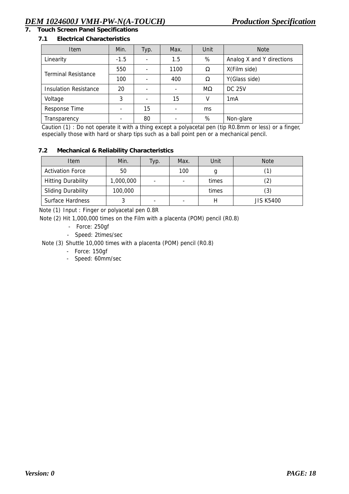## **7. Touch Screen Panel Specifications**

#### **7.1 Electrical Characteristics**

| <b>Item</b>                  | Min.   | Typ.     | Max.                     | Unit          | <b>Note</b>               |
|------------------------------|--------|----------|--------------------------|---------------|---------------------------|
| Linearity                    | $-1.5$ |          | 1.5                      | %             | Analog X and Y directions |
| <b>Terminal Resistance</b>   | 550    |          | 1100                     | Ω             | X(Film side)              |
|                              | 100    | 400<br>Ω |                          | Y(Glass side) |                           |
| <b>Insulation Resistance</b> | 20     |          | $\overline{\phantom{0}}$ | $M\Omega$     | <b>DC 25V</b>             |
| Voltage                      | 3      |          | 15                       | v             | 1 <sub>m</sub> A          |
| Response Time                |        | 15       |                          | ms            |                           |
| Transparency                 |        | 80       |                          | %             | Non-glare                 |

Caution (1) : Do not operate it with a thing except a polyacetal pen (tip R0.8mm or less) or a finger, especially those with hard or sharp tips such as a ball point pen or a mechanical pencil.

#### **7.2 Mechanical & Reliability Characteristics**

| <b>Item</b>               | Min.      | Typ.                     | Max.                     | Unit  | <b>Note</b>      |
|---------------------------|-----------|--------------------------|--------------------------|-------|------------------|
| <b>Activation Force</b>   | 50        |                          | 100                      |       |                  |
| <b>Hitting Durability</b> | 1,000,000 | ٠                        | $\overline{\phantom{0}}$ | times | (2)              |
| <b>Sliding Durability</b> | 100,000   |                          |                          | times | (3)              |
| <b>Surface Hardness</b>   |           | $\overline{\phantom{0}}$ | -                        |       | <b>JIS K5400</b> |

Note (1) Input : Finger or polyacetal pen 0.8R

Note (2) Hit 1,000,000 times on the Film with a placenta (POM) pencil (R0.8)

- Force: 250gf
- Speed: 2times/sec

Note (3) Shuttle 10,000 times with a placenta (POM) pencil (R0.8)

- Force: 150gf
- Speed: 60mm/sec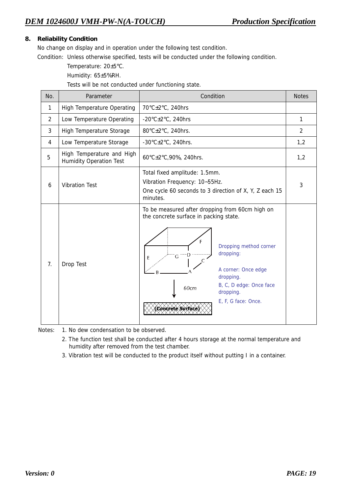#### **8. Reliability Condition**

No change on display and in operation under the following test condition.

Condition: Unless otherwise specified, tests will be conducted under the following condition.

Temperature: 20±5°C.

Humidity: 65±5%RH.

Tests will be not conducted under functioning state.

| No.            | Parameter                                                   | Condition                                                                                                                                                                                                                                                                      | <b>Notes</b>   |
|----------------|-------------------------------------------------------------|--------------------------------------------------------------------------------------------------------------------------------------------------------------------------------------------------------------------------------------------------------------------------------|----------------|
| 1              | <b>High Temperature Operating</b>                           | 70°C±2°C, 240hrs                                                                                                                                                                                                                                                               |                |
| $\overline{2}$ | Low Temperature Operating                                   | -20 $\textdegree$ C $\pm$ 2 $\textdegree$ C, 240hrs                                                                                                                                                                                                                            | $\mathbf{1}$   |
| 3              | High Temperature Storage                                    | 80°C±2°C, 240hrs.                                                                                                                                                                                                                                                              | $\overline{2}$ |
| 4              | Low Temperature Storage                                     | -30 $\textdegree$ C $\pm$ 2 $\textdegree$ C, 240hrs.                                                                                                                                                                                                                           | 1,2            |
| 5              | High Temperature and High<br><b>Humidity Operation Test</b> | 60°C±2°C,90%, 240hrs.                                                                                                                                                                                                                                                          | 1,2            |
| 6              | <b>Vibration Test</b>                                       | Total fixed amplitude: 1.5mm.<br>Vibration Frequency: 10~55Hz.<br>One cycle 60 seconds to 3 direction of X, Y, Z each 15<br>minutes.                                                                                                                                           | 3              |
| 7.             | Drop Test                                                   | To be measured after dropping from 60cm high on<br>the concrete surface in packing state.<br>Е<br>Dropping method corner<br>dropping:<br>G<br>E<br>A corner: Once edge<br>dropping.<br>B, C, D edge: Once face<br>60cm<br>dropping.<br>E, F, G face: Once.<br>Concrete Surface |                |

Notes: 1. No dew condensation to be observed.

- 2. The function test shall be conducted after 4 hours storage at the normal temperature and humidity after removed from the test chamber.
- 3. Vibration test will be conducted to the product itself without putting I in a container.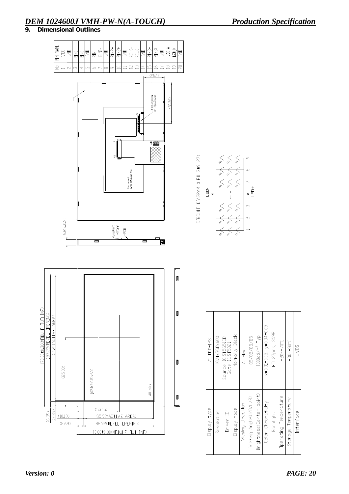# *DEM 1024600J VMH-PW-N(A-TOUCH) Production Specification*

**9. Dimensional Outlines** 



| $7''$ TFT-IPS | 1024xRGBx600 | Source IC:ST5651CB<br>Gate IC:ST5021 | Normally Black | All view          | 85/85/85/85            | $1000 \text{c}$ d/ $m^2$ Typ. | $x=0.31\pm0.05$ , $y=0.34\pm0.05$ | LED 27pcs, 3S9P  | $-20 - 70$ °C                | $-30 - 80 - C$      | <b>LVDS</b> |  |
|---------------|--------------|--------------------------------------|----------------|-------------------|------------------------|-------------------------------|-----------------------------------|------------------|------------------------------|---------------------|-------------|--|
| Display type  | Resolution   | Driver IC                            | Display mode   | Viewing Direction | Viewing Angle(U/D/L/R) | Brightness(Center point)      | Color Chromaticity                | <b>Backlight</b> | <b>Operating Temperature</b> | Storage Temperature | Interface   |  |

 $\mathbb T$ 

 $\overline{1}$  $\Box$  Τ  $\overline{\phantom{a}}$ 

 $\mathbb{R}$ 

 $\sigma$ 

 $\infty$ 

。<br>巴•

 $\infty$ 

 $\sim$ 

 $\overline{\overline{\overline{z}}}$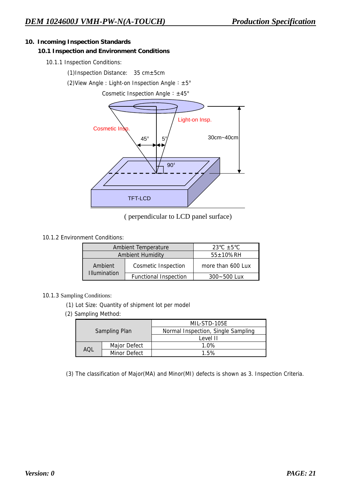#### **10. Incoming Inspection Standards**

#### **10.1 Inspection and Environment Conditions**

10.1.1 Inspection Conditions:

(1)Inspection Distance: 35 cm±5cm

(2)View Angle : Light-on Inspection Angle︰±5°

Cosmetic Inspection Angle︰±45°



( perpendicular to LCD panel surface)

#### 10.1.2 Environment Conditions:

|                     | <b>Ambient Temperature</b>   | 23 °C $\pm$ 5 °C  |  |  |
|---------------------|------------------------------|-------------------|--|--|
|                     | <b>Ambient Humidity</b>      | $55 \pm 10\%$ RH  |  |  |
| Ambient             | <b>Cosmetic Inspection</b>   | more than 600 Lux |  |  |
| <b>Illumination</b> | <b>Functional Inspection</b> | $300 - 500$ Lux   |  |  |

#### 10.1.3 Sampling Conditions:

- (1) Lot Size: Quantity of shipment lot per model
- (2) Sampling Method:

|     |                      | MIL-STD-105F                       |  |  |  |
|-----|----------------------|------------------------------------|--|--|--|
|     | <b>Sampling Plan</b> | Normal Inspection, Single Sampling |  |  |  |
|     |                      | Level II                           |  |  |  |
| IOA | Major Defect         | 1.0%                               |  |  |  |
|     | Minor Defect         | 1.5%                               |  |  |  |

(3) The classification of Major(MA) and Minor(MI) defects is shown as 3. Inspection Criteria.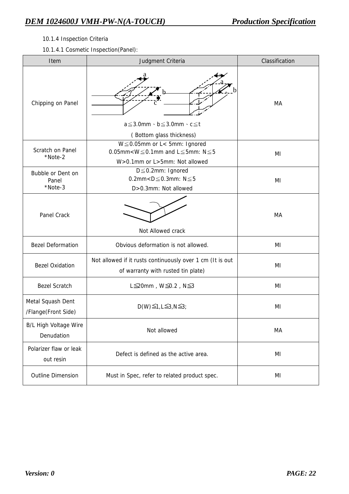#### 10.1.4 Inspection Criteria

10.1.4.1 Cosmetic Inspection(Panel):

| Item                                       | Judgment Criteria                                                                                                            | Classification |  |  |
|--------------------------------------------|------------------------------------------------------------------------------------------------------------------------------|----------------|--|--|
| Chipping on Panel                          | $a \leq 3.0$ mm $\cdot$ b $\leq 3.0$ mm $\cdot$ c $\leq$ t<br>(Bottom glass thickness)                                       | МA             |  |  |
| Scratch on Panel<br>*Note-2                | $W \le 0.05$ mm or L< 5mm: Ignored<br>0.05mm< $W \leq 0.1$ mm and $L \leq 5$ mm: $N \leq 5$<br>W>0.1mm or L>5mm: Not allowed | ΜI             |  |  |
| Bubble or Dent on<br>Panel<br>*Note-3      | $D \leq 0.2$ mm: Ignored<br>0.2mm< $D \leq 0.3$ mm: $N \leq 5$<br>D>0.3mm: Not allowed                                       |                |  |  |
| Panel Crack                                | Not Allowed crack                                                                                                            | MA             |  |  |
| <b>Bezel Deformation</b>                   | Obvious deformation is not allowed.                                                                                          | MI             |  |  |
| <b>Bezel Oxidation</b>                     | Not allowed if it rusts continuously over 1 cm (It is out<br>of warranty with rusted tin plate)                              | ΜI             |  |  |
| <b>Bezel Scratch</b>                       | L $\leq$ 20mm, W $\leq$ 0.2, N $\leq$ 3                                                                                      | ΜI             |  |  |
| Metal Squash Dent<br>/Flange(Front Side)   | $D(W) \leq 1, L \leq 3, N \leq 3;$                                                                                           | ΜI             |  |  |
| <b>B/L High Voltage Wire</b><br>Denudation | Not allowed                                                                                                                  | MA             |  |  |
| Polarizer flaw or leak<br>out resin        | Defect is defined as the active area.                                                                                        | ΜI             |  |  |
| <b>Outline Dimension</b>                   | Must in Spec, refer to related product spec.                                                                                 | ΜI             |  |  |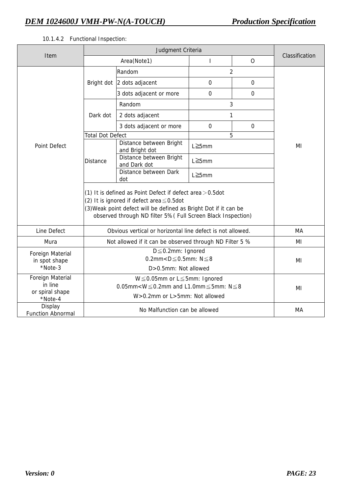### 10.1.4.2 Functional Inspection:

| Item                                                             |                                                                                                                                                                                                                                                    | Area(Note1)                               | I           | $\mathsf{O}$ | Classification |  |
|------------------------------------------------------------------|----------------------------------------------------------------------------------------------------------------------------------------------------------------------------------------------------------------------------------------------------|-------------------------------------------|-------------|--------------|----------------|--|
|                                                                  |                                                                                                                                                                                                                                                    | $\overline{2}$<br>Random                  |             |              |                |  |
|                                                                  |                                                                                                                                                                                                                                                    | Bright dot 2 dots adjacent                | 0           | $\mathbf 0$  |                |  |
|                                                                  |                                                                                                                                                                                                                                                    | 3 dots adjacent or more                   | 0           | $\Omega$     |                |  |
|                                                                  |                                                                                                                                                                                                                                                    | Random<br>3                               |             |              |                |  |
|                                                                  | Dark dot                                                                                                                                                                                                                                           | 2 dots adjacent                           | 1           |              |                |  |
|                                                                  |                                                                                                                                                                                                                                                    | 3 dots adjacent or more                   | $\mathbf 0$ | $\mathbf 0$  |                |  |
|                                                                  | <b>Total Dot Defect</b>                                                                                                                                                                                                                            |                                           |             | 5            |                |  |
| Point Defect                                                     | <b>Distance</b>                                                                                                                                                                                                                                    | Distance between Bright<br>and Bright dot | L≧5mm       |              | ΜI             |  |
|                                                                  |                                                                                                                                                                                                                                                    | Distance between Bright<br>and Dark dot   | L≧5mm       |              |                |  |
|                                                                  |                                                                                                                                                                                                                                                    | Distance between Dark<br>dot              | L≧5mm       |              |                |  |
|                                                                  | (1) It is defined as Point Defect if defect area $>$ 0.5dot<br>(2) It is ignored if defect area $\leq 0.5$ dot<br>(3) Weak point defect will be defined as Bright Dot if it can be<br>observed through ND filter 5% (Full Screen Black Inspection) |                                           |             |              |                |  |
| Line Defect                                                      | Obvious vertical or horizontal line defect is not allowed.                                                                                                                                                                                         | МA                                        |             |              |                |  |
| Mura                                                             | Not allowed if it can be observed through ND Filter 5 %                                                                                                                                                                                            | MI                                        |             |              |                |  |
| Foreign Material<br>in spot shape<br>*Note-3                     |                                                                                                                                                                                                                                                    | MI                                        |             |              |                |  |
| <b>Foreign Material</b><br>in line<br>or spiral shape<br>*Note-4 |                                                                                                                                                                                                                                                    | MI                                        |             |              |                |  |
| Display<br><b>Function Abnormal</b>                              |                                                                                                                                                                                                                                                    | МA                                        |             |              |                |  |